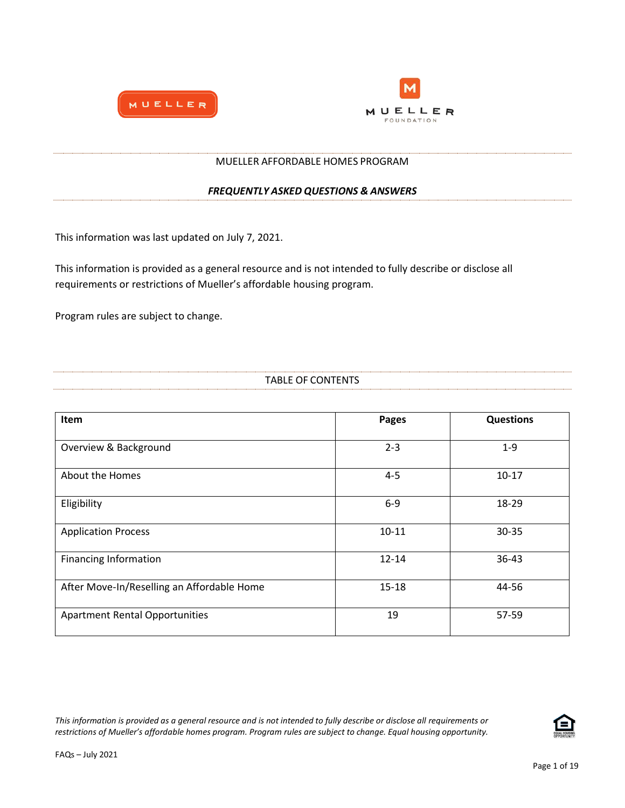



#### MUELLER AFFORDABLE HOMES PROGRAM

#### *FREQUENTLY ASKED QUESTIONS & ANSWERS*

This information was last updated on July 7, 2021.

This information is provided as a general resource and is not intended to fully describe or disclose all requirements or restrictions of Mueller's affordable housing program.

Program rules are subject to change.

| <b>TABLE OF CONTENTS</b><br>. ONTENT <sup>C</sup> |
|---------------------------------------------------|
|                                                   |

| Item                                       | <b>Pages</b> | <b>Questions</b> |
|--------------------------------------------|--------------|------------------|
| Overview & Background                      | $2 - 3$      | $1 - 9$          |
| About the Homes                            | $4 - 5$      | $10 - 17$        |
| Eligibility                                | $6-9$        | 18-29            |
| <b>Application Process</b>                 | $10 - 11$    | $30 - 35$        |
| <b>Financing Information</b>               | $12 - 14$    | $36 - 43$        |
| After Move-In/Reselling an Affordable Home | $15 - 18$    | 44-56            |
| <b>Apartment Rental Opportunities</b>      | 19           | 57-59            |

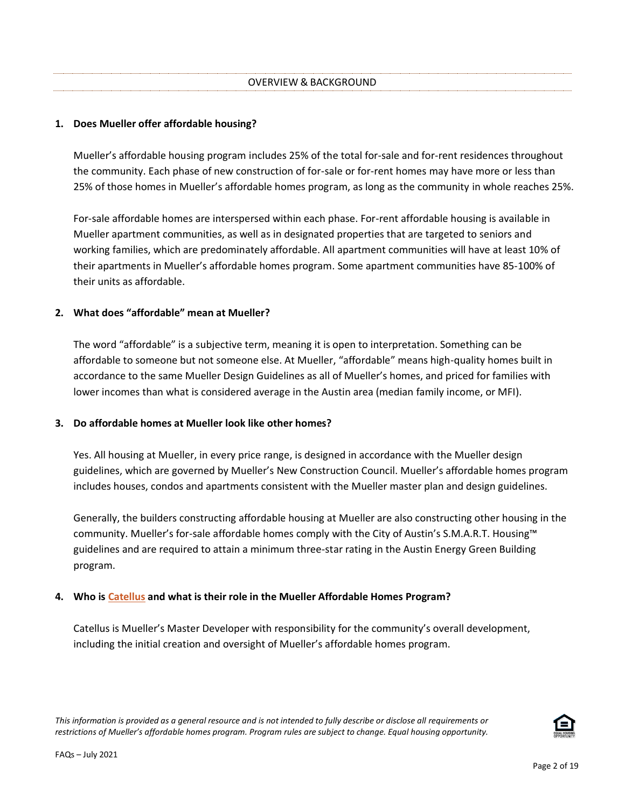### **1. Does Mueller offer affordable housing?**

Mueller's affordable housing program includes 25% of the total for-sale and for-rent residences throughout the community. Each phase of new construction of for-sale or for-rent homes may have more or less than 25% of those homes in Mueller's affordable homes program, as long as the community in whole reaches 25%.

For-sale affordable homes are interspersed within each phase. For-rent affordable housing is available in Mueller apartment communities, as well as in designated properties that are targeted to seniors and working families, which are predominately affordable. All apartment communities will have at least 10% of their apartments in Mueller's affordable homes program. Some apartment communities have 85-100% of their units as affordable.

### **2. What does "affordable" mean at Mueller?**

The word "affordable" is a subjective term, meaning it is open to interpretation. Something can be affordable to someone but not someone else. At Mueller, "affordable" means high-quality homes built in accordance to the same Mueller Design Guidelines as all of Mueller's homes, and priced for families with lower incomes than what is considered average in the Austin area (median family income, or MFI).

### **3. Do affordable homes at Mueller look like other homes?**

Yes. All housing at Mueller, in every price range, is designed in accordance with the Mueller design guidelines, which are governed by Mueller's New Construction Council. Mueller's affordable homes program includes houses, condos and apartments consistent with the Mueller master plan and design guidelines.

Generally, the builders constructing affordable housing at Mueller are also constructing other housing in the community. Mueller's for-sale affordable homes comply with the City of Austin's S.M.A.R.T. Housing™ guidelines and are required to attain a minimum three-star rating in the Austin Energy Green Building program.

# **4. Who is [Catellus](http://www.catellus.com/) and what is their role in the Mueller Affordable Homes Program?**

Catellus is Mueller's Master Developer with responsibility for the community's overall development, including the initial creation and oversight of Mueller's affordable homes program.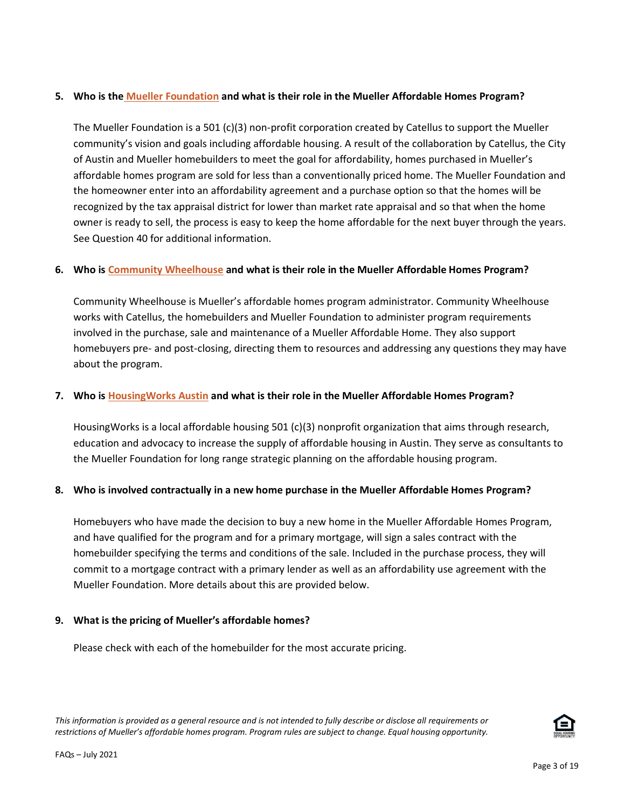## **5. Who is the [Mueller Foundation](http://muellerfoundation.org/) and what is their role in the Mueller Affordable Homes Program?**

The Mueller Foundation is a 501 (c)(3) non-profit corporation created by Catellus to support the Mueller community's vision and goals including affordable housing. A result of the collaboration by Catellus, the City of Austin and Mueller homebuilders to meet the goal for affordability, homes purchased in Mueller's affordable homes program are sold for less than a conventionally priced home. The Mueller Foundation and the homeowner enter into an affordability agreement and a purchase option so that the homes will be recognized by the tax appraisal district for lower than market rate appraisal and so that when the home owner is ready to sell, the process is easy to keep the home affordable for the next buyer through the years. See Question 40 for additional information.

# **6. Who is [Community Wheelhouse](http://www.cwhaustin.com/) and what is their role in the Mueller Affordable Homes Program?**

Community Wheelhouse is Mueller's affordable homes program administrator. Community Wheelhouse works with Catellus, the homebuilders and Mueller Foundation to administer program requirements involved in the purchase, sale and maintenance of a Mueller Affordable Home. They also support homebuyers pre- and post-closing, directing them to resources and addressing any questions they may have about the program.

## **7. Who is [HousingWorks Austin](http://www.housingworksaustin.org/) and what is their role in the Mueller Affordable Homes Program?**

HousingWorks is a local affordable housing 501 (c)(3) nonprofit organization that aims through research, education and advocacy to increase the supply of affordable housing in Austin. They serve as consultants to the Mueller Foundation for long range strategic planning on the affordable housing program.

# **8. Who is involved contractually in a new home purchase in the Mueller Affordable Homes Program?**

Homebuyers who have made the decision to buy a new home in the Mueller Affordable Homes Program, and have qualified for the program and for a primary mortgage, will sign a sales contract with the homebuilder specifying the terms and conditions of the sale. Included in the purchase process, they will commit to a mortgage contract with a primary lender as well as an affordability use agreement with the Mueller Foundation. More details about this are provided below.

### **9. What is the pricing of Mueller's affordable homes?**

Please check with each of the homebuilder for the most accurate pricing.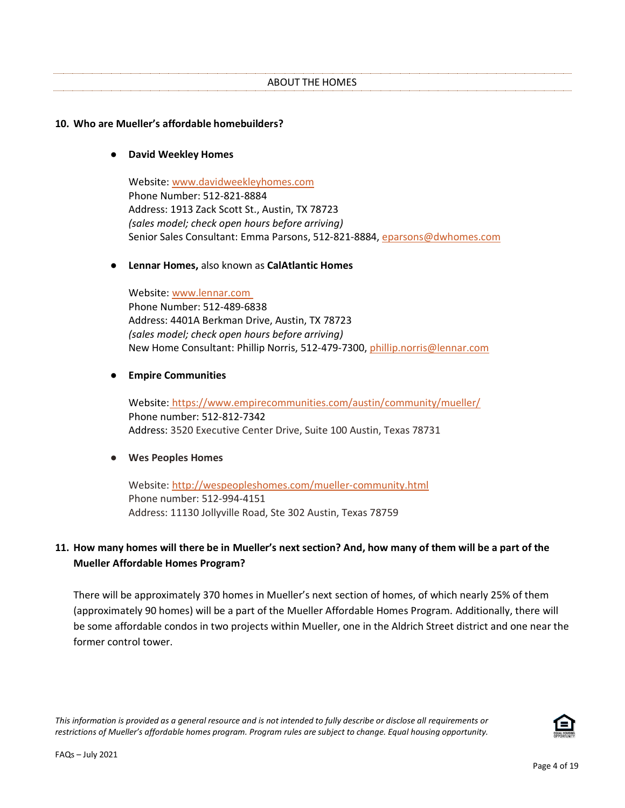#### ABOUT THE HOMES

#### **10. Who are Mueller's affordable homebuilders?**

#### ● **David Weekley Homes**

Website: [www.davidweekleyhomes.com](http://www.davidweekleyhomes.com/) Phone Number: 512-821-8884 Address: 1913 Zack Scott St., Austin, TX 78723 *(sales model; check open hours before arriving)* Senior Sales Consultant: Emma Parsons, 512-821-8884, [eparsons@dwhomes.com](mailto:eparsons@dwhomes.com)

#### ● **Lennar Homes,** also known as **CalAtlantic Homes**

Website: [www.lennar.com](http://www.lennar.com/) Phone Number: 512-489-6838 Address: 4401A Berkman Drive, Austin, TX 78723 *(sales model; check open hours before arriving)* New Home Consultant: Phillip Norris, 512-479-7300, [phillip.norris@lennar.com](mailto:phillip.norris@lennar.com)

### ● **Empire Communities**

Website: <https://www.empirecommunities.com/austin/community/mueller/> Phone number: 512-812-7342 Address: 3520 Executive Center Drive, Suite 100 Austin, Texas 78731

### ● **Wes Peoples Homes**

Website: <http://wespeopleshomes.com/mueller-community.html> Phone number: 512-994-4151 Address: 11130 Jollyville Road, Ste 302 Austin, Texas 78759

# **11. How many homes will there be in Mueller's next section? And, how many of them will be a part of the Mueller Affordable Homes Program?**

There will be approximately 370 homes in Mueller's next section of homes, of which nearly 25% of them (approximately 90 homes) will be a part of the Mueller Affordable Homes Program. Additionally, there will be some affordable condos in two projects within Mueller, one in the Aldrich Street district and one near the former control tower.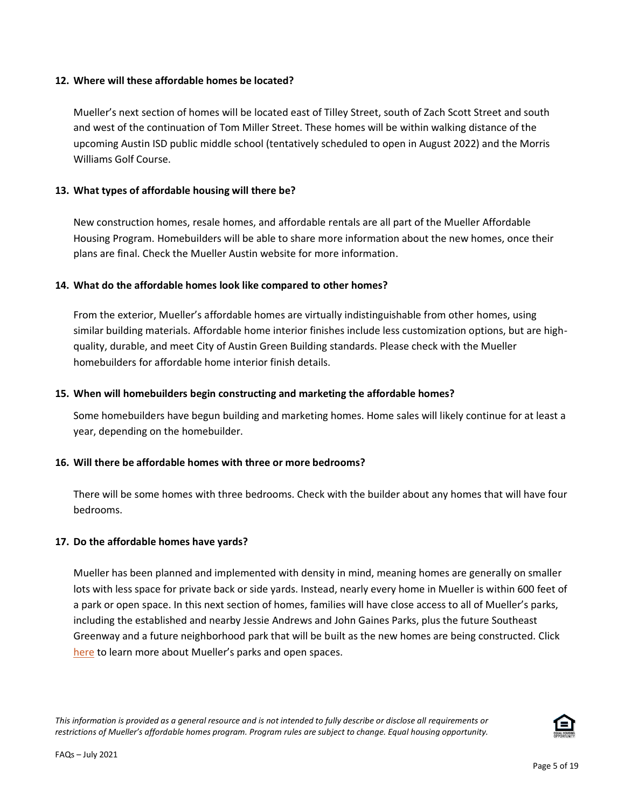### **12. Where will these affordable homes be located?**

Mueller's next section of homes will be located east of Tilley Street, south of Zach Scott Street and south and west of the continuation of Tom Miller Street. These homes will be within walking distance of the upcoming Austin ISD public middle school (tentatively scheduled to open in August 2022) and the Morris Williams Golf Course.

## **13. What types of affordable housing will there be?**

New construction homes, resale homes, and affordable rentals are all part of the Mueller Affordable Housing Program. Homebuilders will be able to share more information about the new homes, once their plans are final. Check th[e Mueller Austin website](http://www.muelleraustin.com/homes/home-types/now-selling/) for more information.

## **14. What do the affordable homes look like compared to other homes?**

From the exterior, Mueller's affordable homes are virtually indistinguishable from other homes, using similar building materials. Affordable home interior finishes include less customization options, but are highquality, durable, and meet City of Austin Green Building standards. Please check with the Mueller homebuilders for affordable home interior finish details.

## **15. When will homebuilders begin constructing and marketing the affordable homes?**

Some homebuilders have begun building and marketing homes. Home sales will likely continue for at least a year, depending on the homebuilder.

# **16. Will there be affordable homes with three or more bedrooms?**

There will be some homes with three bedrooms. Check with the builder about any homes that will have four bedrooms.

### **17. Do the affordable homes have yards?**

Mueller has been planned and implemented with density in mind, meaning homes are generally on smaller lots with less space for private back or side yards. Instead, nearly every home in Mueller is within 600 feet of a park or open space. In this next section of homes, families will have close access to all of Mueller's parks, including the established and nearby Jessie Andrews and John Gaines Parks, plus the future Southeast Greenway and a future neighborhood park that will be built as the new homes are being constructed. [Click](http://www.muelleraustin.com/thinking-green/parks/)  [here](http://www.muelleraustin.com/thinking-green/parks/) to learn more about Mueller's parks and open spaces.

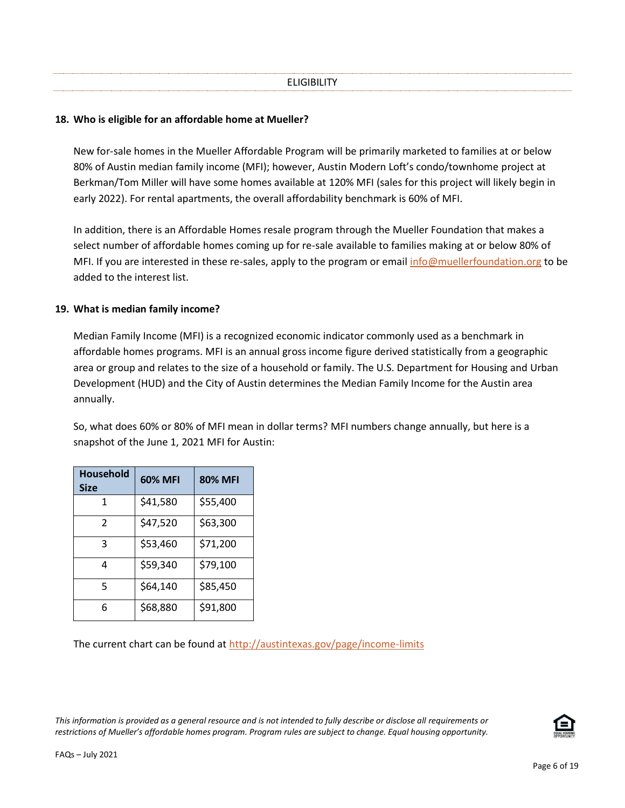#### **18. Who is eligible for an affordable home at Mueller?**

New for-sale homes in the Mueller Affordable Program will be primarily marketed to families at or below 80% of Austin median family income (MFI); however, Austin Modern Loft's condo/townhome project at Berkman/Tom Miller will have some homes available at 120% MFI (sales for this project will likely begin in early 2022). For rental apartments, the overall affordability benchmark is 60% of MFI.

In addition, there is an Affordable Homes resale program through the Mueller Foundation that makes a select number of affordable homes coming up for re-sale available to families making at or below 80% of MFI. If you are interested in these re-sales, apply to the program or email [info@muellerfoundation.org](mailto:info@muellerfoundation.org) to be added to the interest list.

#### **19. What is median family income?**

Median Family Income (MFI) is a recognized economic indicator commonly used as a benchmark in affordable homes programs. MFI is an annual gross income figure derived statistically from a geographic area or group and relates to the size of a household or family. The U.S. Department for Housing and Urban Development (HUD) and the City of Austin determines the Median Family Income for the Austin area annually.

So, what does 60% or 80% of MFI mean in dollar terms? MFI numbers change annually, but here is a snapshot of the June 1, 2021 MFI for Austin:

| <b>Household</b><br><b>Size</b> | <b>60% MFI</b> | <b>80% MFI</b> |
|---------------------------------|----------------|----------------|
| 1                               | \$41,580       | \$55,400       |
| $\mathfrak{p}$                  | \$47,520       | \$63,300       |
| 3                               | \$53,460       | \$71,200       |
| 4                               | \$59,340       | \$79,100       |
| 5                               | \$64,140       | \$85,450       |
| 6                               | \$68,880       | \$91,800       |

The current chart can be found at <http://austintexas.gov/page/income-limits>

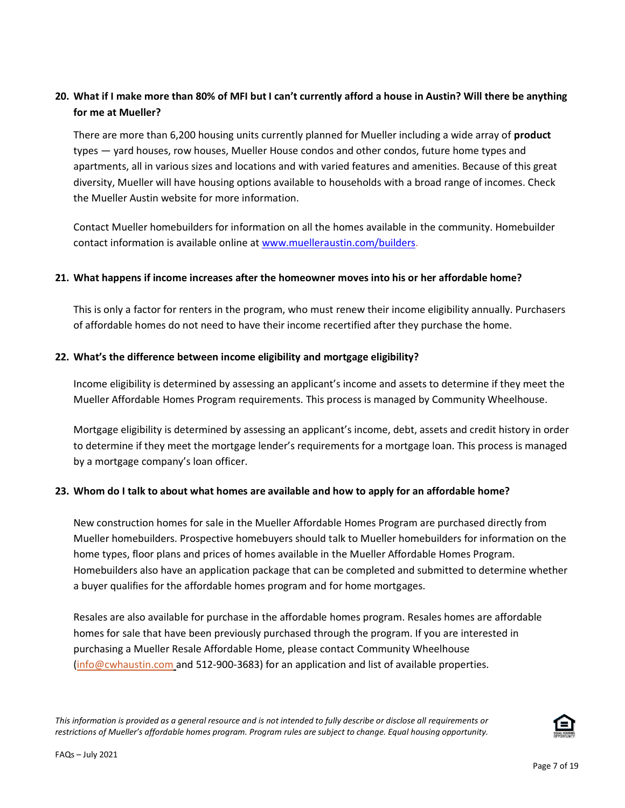# **20. What if I make more than 80% of MFI but I can't currently afford a house in Austin? Will there be anything for me at Mueller?**

There are more than 6,200 housing units currently planned for Mueller including a wide array of **product** types — yard houses, row houses, Mueller House condos and other condos, future home types and apartments, all in various sizes and locations and with varied features and amenities. Because of this great diversity, Mueller will have housing options available to households with a broad range of incomes. Check th[e Mueller Austin website](http://www.muelleraustin.com/homes/home-types/now-selling/) for more information.

Contact Mueller homebuilders for information on all the homes available in the community. Homebuilder contact information is available online at [www.muelleraustin.com/builders.](http://www.muelleraustin.com/builders)

## **21. What happens if income increases after the homeowner moves into his or her affordable home?**

This is only a factor for renters in the program, who must renew their income eligibility annually. Purchasers of affordable homes do not need to have their income recertified after they purchase the home.

## **22. What's the difference between income eligibility and mortgage eligibility?**

Income eligibility is determined by assessing an applicant's income and assets to determine if they meet the Mueller Affordable Homes Program requirements. This process is managed by Community Wheelhouse.

Mortgage eligibility is determined by assessing an applicant's income, debt, assets and credit history in order to determine if they meet the mortgage lender's requirements for a mortgage loan. This process is managed by a mortgage company's loan officer.

### **23. Whom do I talk to about what homes are available and how to apply for an affordable home?**

New construction homes for sale in the Mueller Affordable Homes Program are purchased directly from Mueller homebuilders. Prospective homebuyers should talk to Mueller homebuilders for information on the home types, floor plans and prices of homes available in the Mueller Affordable Homes Program. Homebuilders also have an application package that can be completed and submitted to determine whether a buyer qualifies for the affordable homes program and for home mortgages.

Resales are also available for purchase in the affordable homes program. Resales homes are affordable homes for sale that have been previously purchased through the program. If you are interested in purchasing a Mueller Resale Affordable Home, please contact Community Wheelhouse [\(info@cwhaustin.com](mailto:info@cwhaustin.com) and 512-900-3683) for an application and list of available properties.

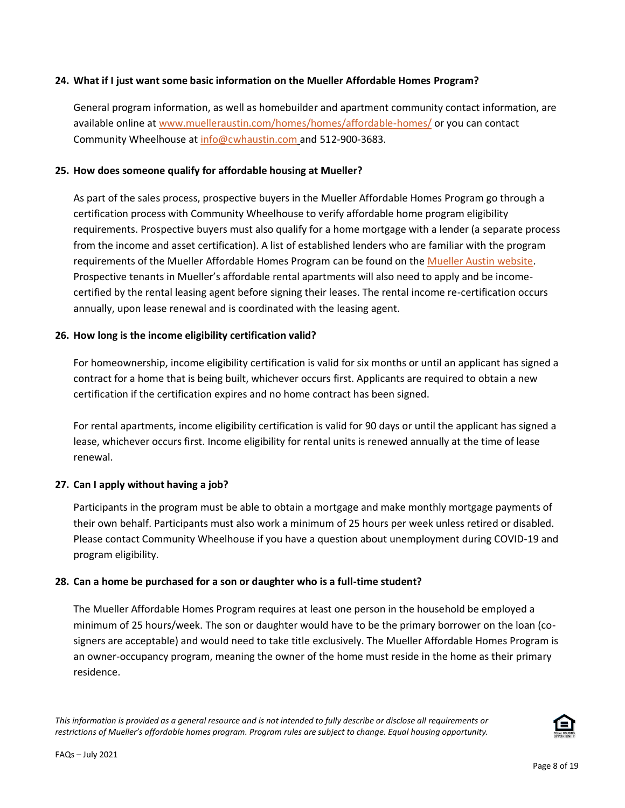### **24. What if I just want some basic information on the Mueller Affordable Homes Program?**

General program information, as well as homebuilder and apartment community contact information, are available online at www.muelleraustin.com/homes/homes/affordable-homes/ or you can contact Community Wheelhouse at [info@cwhaustin.com](mailto:info@cwhaustin.com) and 512-900-3683.

### **25. How does someone qualify for affordable housing at Mueller?**

As part of the sales process, prospective buyers in the Mueller Affordable Homes Program go through a certification process with Community Wheelhouse to verify affordable home program eligibility requirements. Prospective buyers must also qualify for a home mortgage with a lender (a separate process from the income and asset certification). A list of established lenders who are familiar with the program requirements of the Mueller Affordable Homes Program can be found on the [Mueller Austin website.](http://www.muelleraustin.com/homes/home-types/) Prospective tenants in Mueller's affordable rental apartments will also need to apply and be incomecertified by the rental leasing agent before signing their leases. The rental income re-certification occurs annually, upon lease renewal and is coordinated with the leasing agent.

## **26. How long is the income eligibility certification valid?**

For homeownership, income eligibility certification is valid for six months or until an applicant has signed a contract for a home that is being built, whichever occurs first. Applicants are required to obtain a new certification if the certification expires and no home contract has been signed.

For rental apartments, income eligibility certification is valid for 90 days or until the applicant has signed a lease, whichever occurs first. Income eligibility for rental units is renewed annually at the time of lease renewal.

### **27. Can I apply without having a job?**

Participants in the program must be able to obtain a mortgage and make monthly mortgage payments of their own behalf. Participants must also work a minimum of 25 hours per week unless retired or disabled. Please contact Community Wheelhouse if you have a question about unemployment during COVID-19 and program eligibility.

### **28. Can a home be purchased for a son or daughter who is a full-time student?**

The Mueller Affordable Homes Program requires at least one person in the household be employed a minimum of 25 hours/week. The son or daughter would have to be the primary borrower on the loan (cosigners are acceptable) and would need to take title exclusively. The Mueller Affordable Homes Program is an owner-occupancy program, meaning the owner of the home must reside in the home as their primary residence.

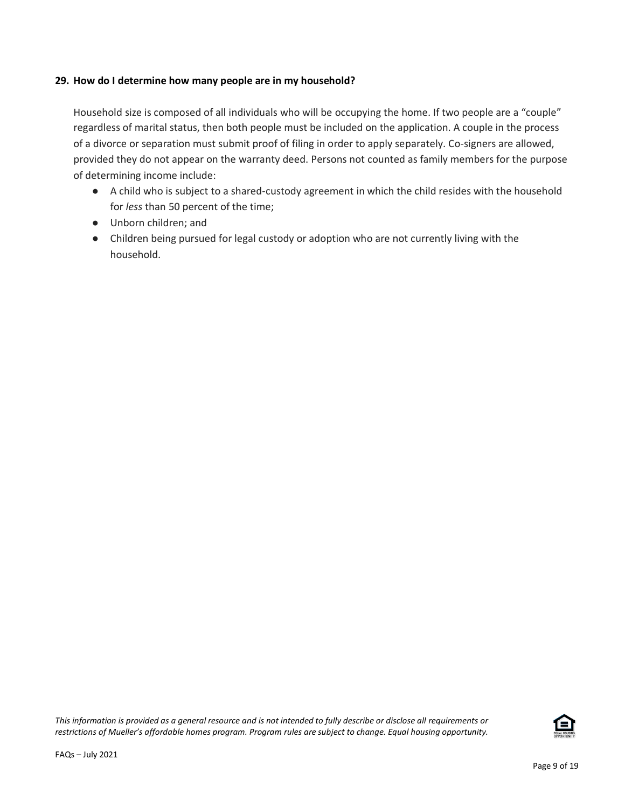### **29. How do I determine how many people are in my household?**

Household size is composed of all individuals who will be occupying the home. If two people are a "couple" regardless of marital status, then both people must be included on the application. A couple in the process of a divorce or separation must submit proof of filing in order to apply separately. Co-signers are allowed, provided they do not appear on the warranty deed. Persons not counted as family members for the purpose of determining income include:

- A child who is subject to a shared-custody agreement in which the child resides with the household for *less* than 50 percent of the time;
- Unborn children; and
- Children being pursued for legal custody or adoption who are not currently living with the household.

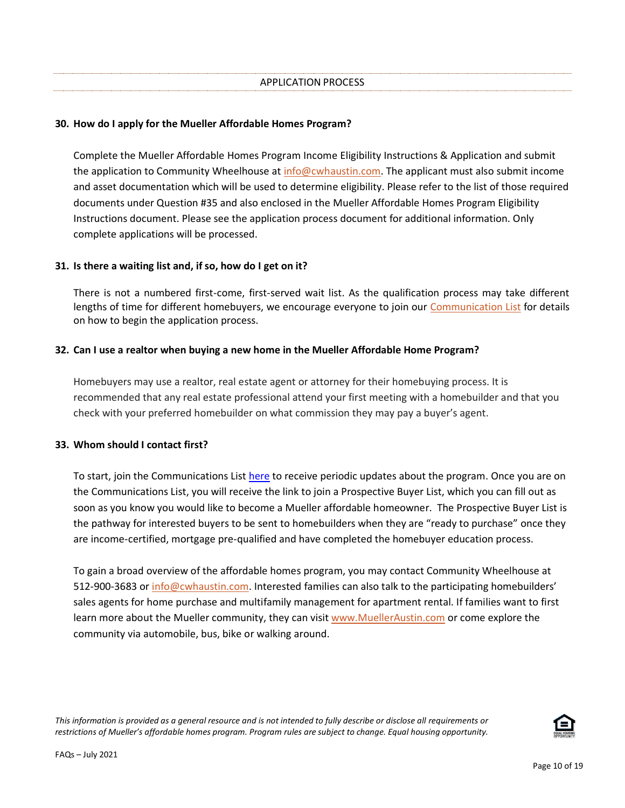## **30. How do I apply for the Mueller Affordable Homes Program?**

Complete the Mueller Affordable Homes Program Income Eligibility Instructions & Application and submit the application to Community Wheelhouse at [info@cwhaustin.com.](mailto:info@cwhaustin.com) The applicant must also submit income and asset documentation which will be used to determine eligibility. Please refer to the list of those required documents under Question #35 and also enclosed in the Mueller Affordable Homes Program Eligibility Instructions document. Please see the application process document for additional information. Only complete applications will be processed.

### **31. Is there a waiting list and, if so, how do I get on it?**

There is not a numbered first-come, first-served wait list. As the qualification process may take different lengths of time for different homebuyers, we encourage everyone to join our [Communication List](http://eepurl.com/hotlz9) for details on how to begin the application process.

## **32. Can I use a realtor when buying a new home in the Mueller Affordable Home Program?**

Homebuyers may use a realtor, real estate agent or attorney for their homebuying process. It is recommended that any real estate professional attend your first meeting with a homebuilder and that you check with your preferred homebuilder on what commission they may pay a buyer's agent.

### **33. Whom should I contact first?**

To start, join the Communications List [here](https://muellerfoundation.us7.list-manage.com/subscribe?u=f88c06c756cef7b9db02d6ce8&id=6b503adfc1) to receive periodic updates about the program. Once you are on the Communications List, you will receive the link to join a Prospective Buyer List, which you can fill out as soon as you know you would like to become a Mueller affordable homeowner. The Prospective Buyer List is the pathway for interested buyers to be sent to homebuilders when they are "ready to purchase" once they are income-certified, mortgage pre-qualified and have completed the homebuyer education process.

To gain a broad overview of the affordable homes program, you may contact Community Wheelhouse at 512-900-3683 or [info@cwhaustin.com.](mailto:info@cwhaustin.com) Interested families can also talk to the participating homebuilders' sales agents for home purchase and multifamily management for apartment rental. If families want to first learn more about the Mueller community, they can visi[t www.MuellerAustin.com](http://www.muelleraustin.com/) or come explore the community via automobile, bus, bike or walking around.

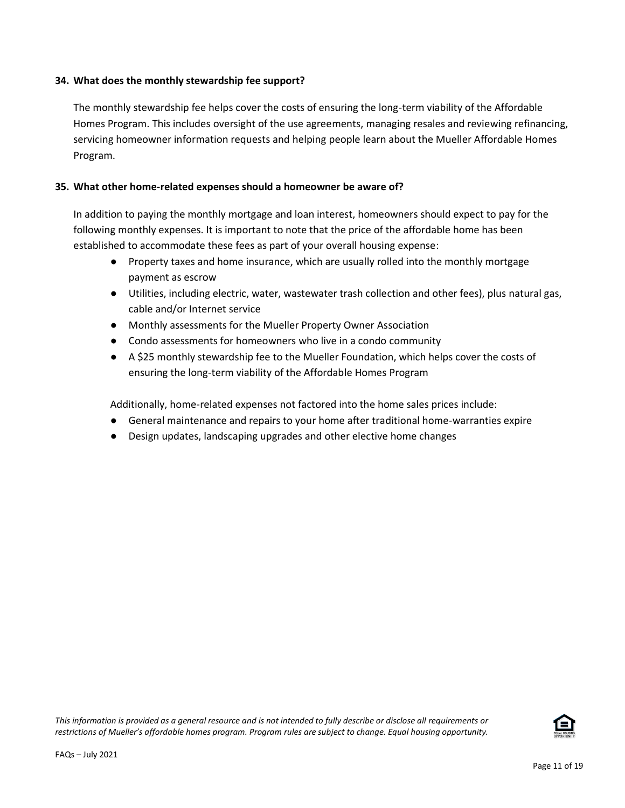### **34. What does the monthly stewardship fee support?**

The monthly stewardship fee helps cover the costs of ensuring the long-term viability of the Affordable Homes Program. This includes oversight of the use agreements, managing resales and reviewing refinancing, servicing homeowner information requests and helping people learn about the Mueller Affordable Homes Program.

## **35. What other home-related expenses should a homeowner be aware of?**

In addition to paying the monthly mortgage and loan interest, homeowners should expect to pay for the following monthly expenses. It is important to note that the price of the affordable home has been established to accommodate these fees as part of your overall housing expense:

- Property taxes and home insurance, which are usually rolled into the monthly mortgage payment as escrow
- Utilities, including electric, water, wastewater trash collection and other fees), plus natural gas, cable and/or Internet service
- Monthly assessments for the Mueller Property Owner Association
- Condo assessments for homeowners who live in a condo community
- A \$25 monthly stewardship fee to the Mueller Foundation, which helps cover the costs of ensuring the long-term viability of the Affordable Homes Program

Additionally, home-related expenses not factored into the home sales prices include:

- General maintenance and repairs to your home after traditional home-warranties expire
- Design updates, landscaping upgrades and other elective home changes

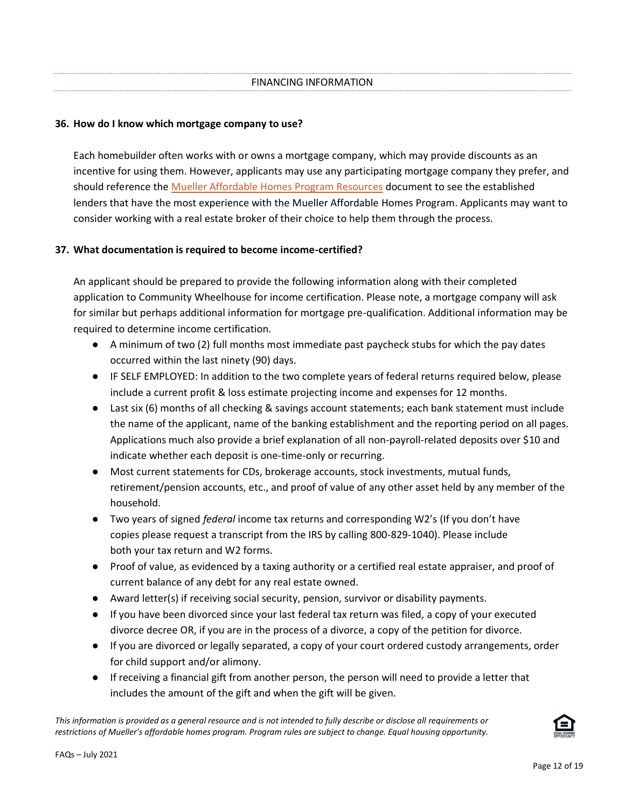### **36. How do I know which mortgage company to use?**

Each homebuilder often works with or owns a mortgage company, which may provide discounts as an incentive for using them. However, applicants may use any participating mortgage company they prefer, and should reference th[e Mueller Affordable Homes Program Resources](http://www.muelleraustin.com/uploads/homes/AH_Resources_07-01-21.pdf) document to see the established lenders that have the most experience with the Mueller Affordable Homes Program. Applicants may want to consider working with a real estate broker of their choice to help them through the process.

## **37. What documentation is required to become income-certified?**

An applicant should be prepared to provide the following information along with their completed application to Community Wheelhouse for income certification. Please note, a mortgage company will ask for similar but perhaps additional information for mortgage pre-qualification. Additional information may be required to determine income certification.

- A minimum of two (2) full months most immediate past paycheck stubs for which the pay dates occurred within the last ninety (90) days.
- IF SELF EMPLOYED: In addition to the two complete years of federal returns required below, please include a current profit & loss estimate projecting income and expenses for 12 months.
- Last six (6) months of all checking & savings account statements; each bank statement must include the name of the applicant, name of the banking establishment and the reporting period on all pages. Applications much also provide a brief explanation of all non-payroll-related deposits over \$10 and indicate whether each deposit is one-time-only or recurring.
- Most current statements for CDs, brokerage accounts, stock investments, mutual funds, retirement/pension accounts, etc., and proof of value of any other asset held by any member of the household.
- Two years of signed *federal* income tax returns and corresponding W2's (If you don't have copies please request a transcript from the IRS by calling 800-829-1040). Please include both your tax return and W2 forms.
- Proof of value, as evidenced by a taxing authority or a certified real estate appraiser, and proof of current balance of any debt for any real estate owned.
- Award letter(s) if receiving social security, pension, survivor or disability payments.
- If you have been divorced since your last federal tax return was filed, a copy of your executed divorce decree OR, if you are in the process of a divorce, a copy of the petition for divorce.
- If you are divorced or legally separated, a copy of your court ordered custody arrangements, order for child support and/or alimony.
- If receiving a financial gift from another person, the person will need to provide a letter that includes the amount of the gift and when the gift will be given.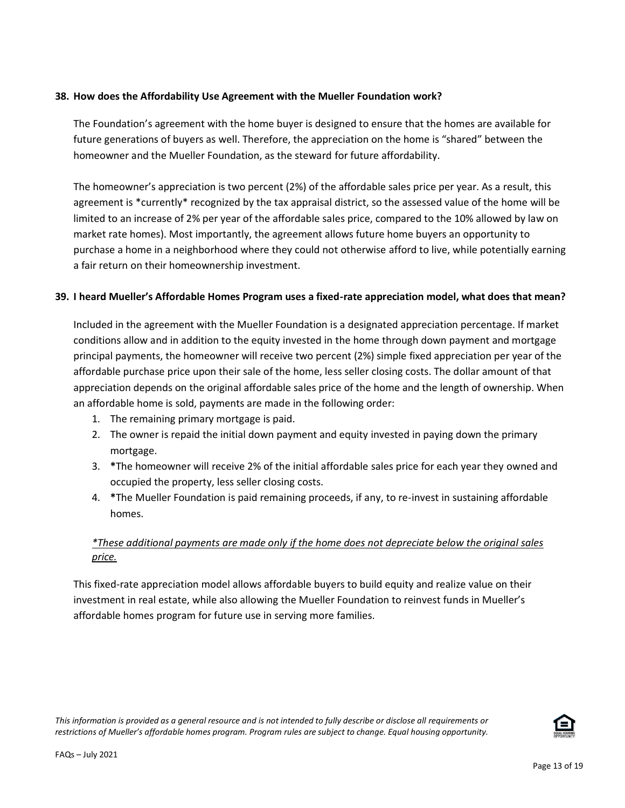## **38. How does the Affordability Use Agreement with the Mueller Foundation work?**

The Foundation's agreement with the home buyer is designed to ensure that the homes are available for future generations of buyers as well. Therefore, the appreciation on the home is "shared" between the homeowner and the Mueller Foundation, as the steward for future affordability.

The homeowner's appreciation is two percent (2%) of the affordable sales price per year. As a result, this agreement is \*currently\* recognized by the tax appraisal district, so the assessed value of the home will be limited to an increase of 2% per year of the affordable sales price, compared to the 10% allowed by law on market rate homes). Most importantly, the agreement allows future home buyers an opportunity to purchase a home in a neighborhood where they could not otherwise afford to live, while potentially earning a fair return on their homeownership investment.

## **39. I heard Mueller's Affordable Homes Program uses a fixed-rate appreciation model, what does that mean?**

Included in the agreement with the Mueller Foundation is a designated appreciation percentage. If market conditions allow and in addition to the equity invested in the home through down payment and mortgage principal payments, the homeowner will receive two percent (2%) simple fixed appreciation per year of the affordable purchase price upon their sale of the home, less seller closing costs. The dollar amount of that appreciation depends on the original affordable sales price of the home and the length of ownership. When an affordable home is sold, payments are made in the following order:

- 1. The remaining primary mortgage is paid.
- 2. The owner is repaid the initial down payment and equity invested in paying down the primary mortgage.
- 3. **\***The homeowner will receive 2% of the initial affordable sales price for each year they owned and occupied the property, less seller closing costs.
- 4. **\***The Mueller Foundation is paid remaining proceeds, if any, to re-invest in sustaining affordable homes.

# *\*These additional payments are made only if the home does not depreciate below the original sales price.*

This fixed-rate appreciation model allows affordable buyers to build equity and realize value on their investment in real estate, while also allowing the Mueller Foundation to reinvest funds in Mueller's affordable homes program for future use in serving more families.

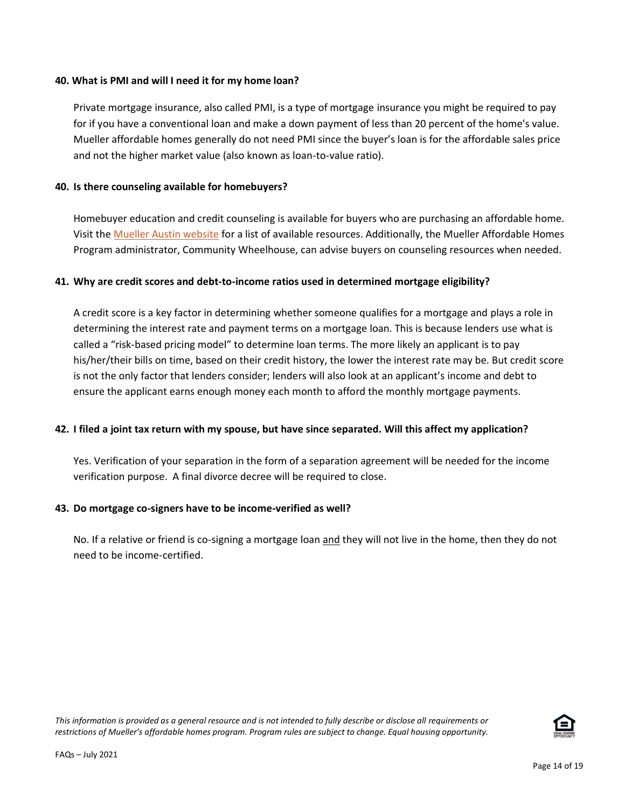### **40. What is PMI and will I need it for my home loan?**

Private mortgage insurance, also called PMI, is a type of mortgage insurance you might be required to pay for if you have a conventional loan and make a down payment of less than 20 percent of the home's value. Mueller affordable homes generally do not need PMI since the buyer's loan is for the affordable sales price and not the higher market value (also known as loan-to-value ratio).

## **40. Is there counseling available for homebuyers?**

Homebuyer education and credit counseling is available for buyers who are purchasing an affordable home. Visit the [Mueller Austin website](http://www.muelleraustin.com/homes/homes/affordable-homes/) for a list of available resources. Additionally, the Mueller Affordable Homes Program administrator, Community Wheelhouse, can advise buyers on counseling resources when needed.

# **41. Why are credit scores and debt-to-income ratios used in determined mortgage eligibility?**

A credit score is a key factor in determining whether someone qualifies for a mortgage and plays a role in determining the interest rate and payment terms on a mortgage loan. This is because lenders use what is called a "risk-based pricing model" to determine loan terms. The more likely an applicant is to pay his/her/their bills on time, based on their credit history, the lower the interest rate may be. But credit score is not the only factor that lenders consider; lenders will also look at an applicant's income and debt to ensure the applicant earns enough money each month to afford the monthly mortgage payments.

### **42. I filed a joint tax return with my spouse, but have since separated. Will this affect my application?**

Yes. Verification of your separation in the form of a separation agreement will be needed for the income verification purpose. A final divorce decree will be required to close.

# **43. Do mortgage co-signers have to be income-verified as well?**

No. If a relative or friend is co-signing a mortgage loan and they will not live in the home, then they do not need to be income-certified.

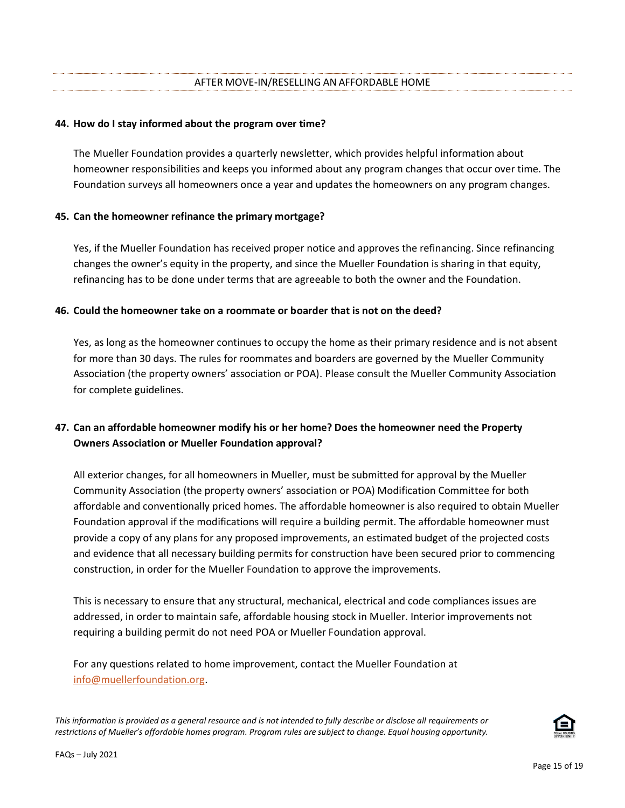### **44. How do I stay informed about the program over time?**

The Mueller Foundation provides a quarterly newsletter, which provides helpful information about homeowner responsibilities and keeps you informed about any program changes that occur over time. The Foundation surveys all homeowners once a year and updates the homeowners on any program changes.

## **45. Can the homeowner refinance the primary mortgage?**

Yes, if the Mueller Foundation has received proper notice and approves the refinancing. Since refinancing changes the owner's equity in the property, and since the Mueller Foundation is sharing in that equity, refinancing has to be done under terms that are agreeable to both the owner and the Foundation.

## **46. Could the homeowner take on a roommate or boarder that is not on the deed?**

Yes, as long as the homeowner continues to occupy the home as their primary residence and is not absent for more than 30 days. The rules for roommates and boarders are governed by the Mueller Community Association (the property owners' association or POA). Please consult the Mueller Community Association for complete guidelines.

# **47. Can an affordable homeowner modify his or her home? Does the homeowner need the Property Owners Association or Mueller Foundation approval?**

All exterior changes, for all homeowners in Mueller, must be submitted for approval by the Mueller Community Association (the property owners' association or POA) Modification Committee for both affordable and conventionally priced homes. The affordable homeowner is also required to obtain Mueller Foundation approval if the modifications will require a building permit. The affordable homeowner must provide a copy of any plans for any proposed improvements, an estimated budget of the projected costs and evidence that all necessary building permits for construction have been secured prior to commencing construction, in order for the Mueller Foundation to approve the improvements.

This is necessary to ensure that any structural, mechanical, electrical and code compliances issues are addressed, in order to maintain safe, affordable housing stock in Mueller. Interior improvements not requiring a building permit do not need POA or Mueller Foundation approval.

For any questions related to home improvement, contact the Mueller Foundation at [info@muellerfoundation.org.](mailto:info@muellerfoundation.org)

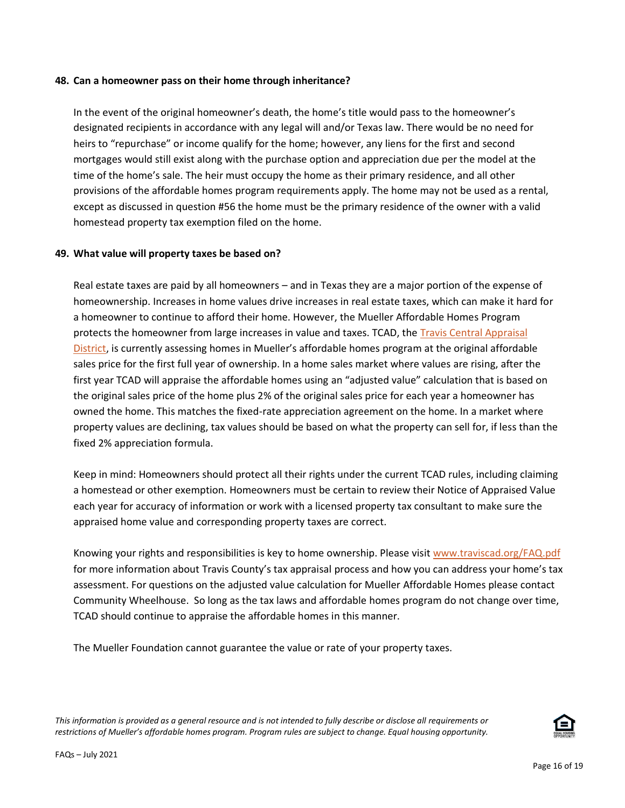#### **48. Can a homeowner pass on their home through inheritance?**

In the event of the original homeowner's death, the home's title would pass to the homeowner's designated recipients in accordance with any legal will and/or Texas law. There would be no need for heirs to "repurchase" or income qualify for the home; however, any liens for the first and second mortgages would still exist along with the purchase option and appreciation due per the model at the time of the home's sale. The heir must occupy the home as their primary residence, and all other provisions of the affordable homes program requirements apply. The home may not be used as a rental, except as discussed in question #56 the home must be the primary residence of the owner with a valid homestead property tax exemption filed on the home.

#### **49. What value will property taxes be based on?**

Real estate taxes are paid by all homeowners – and in Texas they are a major portion of the expense of homeownership. Increases in home values drive increases in real estate taxes, which can make it hard for a homeowner to continue to afford their home. However, the Mueller Affordable Homes Program protects the homeowner from large increases in value and taxes. TCAD, th[e Travis Central Appraisal](http://www.traviscad.org/)  [District](http://www.traviscad.org/), is currently assessing homes in Mueller's affordable homes program at the original affordable sales price for the first full year of ownership. In a home sales market where values are rising, after the first year TCAD will appraise the affordable homes using an "adjusted value" calculation that is based on the original sales price of the home plus 2% of the original sales price for each year a homeowner has owned the home. This matches the fixed-rate appreciation agreement on the home. In a market where property values are declining, tax values should be based on what the property can sell for, if less than the fixed 2% appreciation formula.

Keep in mind: Homeowners should protect all their rights under the current TCAD rules, including claiming a homestead or other exemption. Homeowners must be certain to review their Notice of Appraised Value each year for accuracy of information or work with a licensed property tax consultant to make sure the appraised home value and corresponding property taxes are correct.

Knowing your rights and responsibilities is key to home ownership. Please visit [www.traviscad.org/FAQ.pdf](http://www.traviscad.org/FAQ.pdf) for more information about Travis County's tax appraisal process and how you can address your home's tax assessment. For questions on the adjusted value calculation for Mueller Affordable Homes please contact Community Wheelhouse. So long as the tax laws and affordable homes program do not change over time, TCAD should continue to appraise the affordable homes in this manner.

The Mueller Foundation cannot guarantee the value or rate of your property taxes.

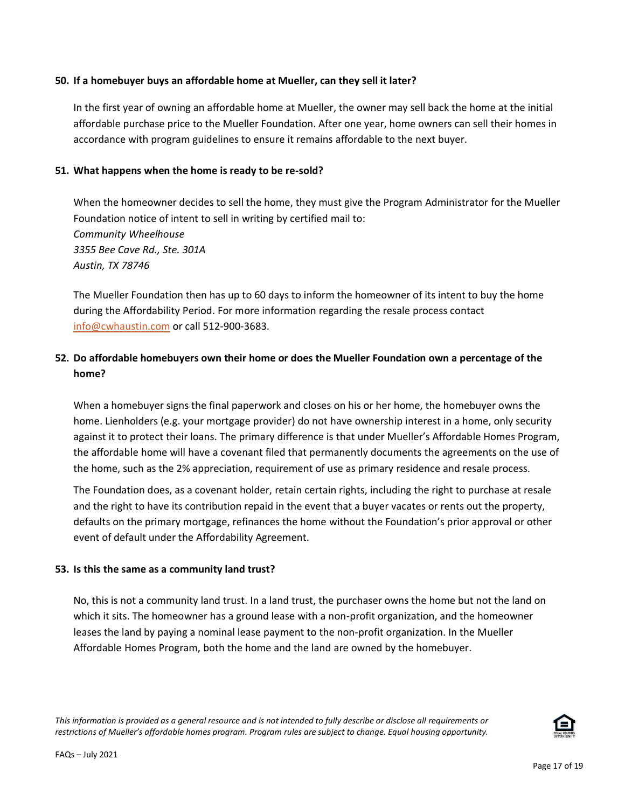#### **50. If a homebuyer buys an affordable home at Mueller, can they sell it later?**

In the first year of owning an affordable home at Mueller, the owner may sell back the home at the initial affordable purchase price to the Mueller Foundation. After one year, home owners can sell their homes in accordance with program guidelines to ensure it remains affordable to the next buyer.

#### **51. What happens when the home is ready to be re-sold?**

When the homeowner decides to sell the home, they must give the Program Administrator for the Mueller Foundation notice of intent to sell in writing by certified mail to: *Community Wheelhouse 3355 Bee Cave Rd., Ste. 301A Austin, TX 78746* 

The Mueller Foundation then has up to 60 days to inform the homeowner of its intent to buy the home during the Affordability Period. For more information regarding the resale process contact [info@cwhaustin.com](mailto:info@cwhaustin.com) or call 512-900-3683.

# **52. Do affordable homebuyers own their home or does the Mueller Foundation own a percentage of the home?**

When a homebuyer signs the final paperwork and closes on his or her home, the homebuyer owns the home. Lienholders (e.g. your mortgage provider) do not have ownership interest in a home, only security against it to protect their loans. The primary difference is that under Mueller's Affordable Homes Program, the affordable home will have a covenant filed that permanently documents the agreements on the use of the home, such as the 2% appreciation, requirement of use as primary residence and resale process.

The Foundation does, as a covenant holder, retain certain rights, including the right to purchase at resale and the right to have its contribution repaid in the event that a buyer vacates or rents out the property, defaults on the primary mortgage, refinances the home without the Foundation's prior approval or other event of default under the Affordability Agreement.

### **53. Is this the same as a community land trust?**

No, this is not a community land trust. In a land trust, the purchaser owns the home but not the land on which it sits. The homeowner has a ground lease with a non-profit organization, and the homeowner leases the land by paying a nominal lease payment to the non-profit organization. In the Mueller Affordable Homes Program, both the home and the land are owned by the homebuyer.

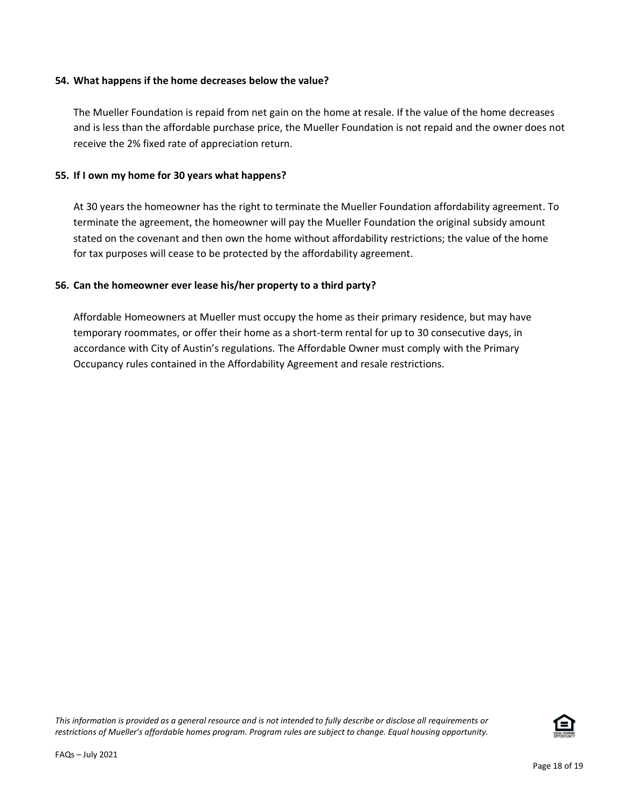### **54. What happens if the home decreases below the value?**

The Mueller Foundation is repaid from net gain on the home at resale. If the value of the home decreases and is less than the affordable purchase price, the Mueller Foundation is not repaid and the owner does not receive the 2% fixed rate of appreciation return.

### **55. If I own my home for 30 years what happens?**

At 30 years the homeowner has the right to terminate the Mueller Foundation affordability agreement. To terminate the agreement, the homeowner will pay the Mueller Foundation the original subsidy amount stated on the covenant and then own the home without affordability restrictions; the value of the home for tax purposes will cease to be protected by the affordability agreement.

### **56. Can the homeowner ever lease his/her property to a third party?**

Affordable Homeowners at Mueller must occupy the home as their primary residence, but may have temporary roommates, or offer their home as a short-term rental for up to 30 consecutive days, in accordance with City of Austin's regulations. The Affordable Owner must comply with the Primary Occupancy rules contained in the Affordability Agreement and resale restrictions.